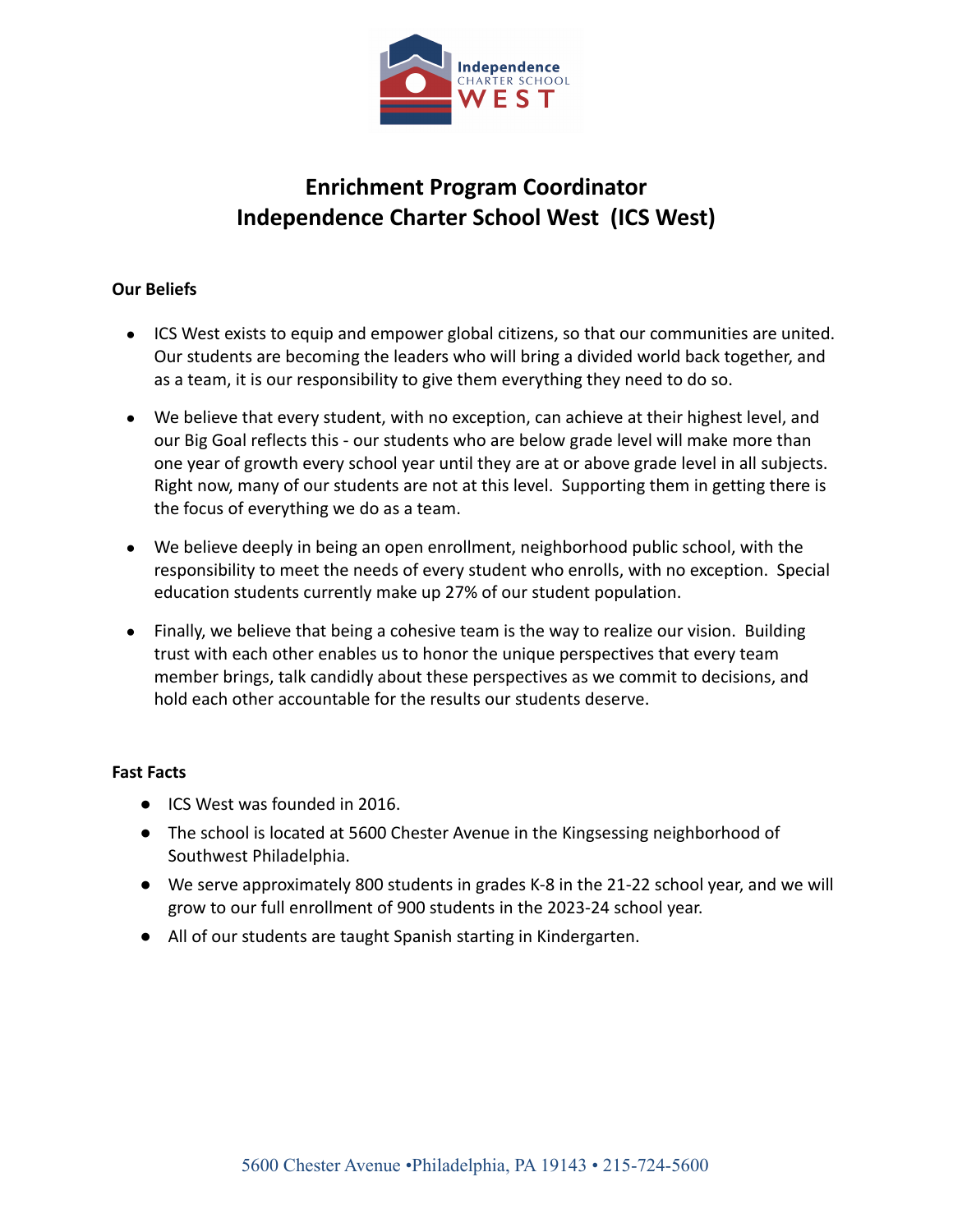

# **Enrichment Program Coordinator Independence Charter School West (ICS West)**

## **Our Beliefs**

- ICS West exists to equip and empower global citizens, so that our communities are united. Our students are becoming the leaders who will bring a divided world back together, and as a team, it is our responsibility to give them everything they need to do so.
- We believe that every student, with no exception, can achieve at their highest level, and our Big Goal reflects this - our students who are below grade level will make more than one year of growth every school year until they are at or above grade level in all subjects. Right now, many of our students are not at this level. Supporting them in getting there is the focus of everything we do as a team.
- We believe deeply in being an open enrollment, neighborhood public school, with the responsibility to meet the needs of every student who enrolls, with no exception. Special education students currently make up 27% of our student population.
- Finally, we believe that being a cohesive team is the way to realize our vision. Building trust with each other enables us to honor the unique perspectives that every team member brings, talk candidly about these perspectives as we commit to decisions, and hold each other accountable for the results our students deserve.

### **Fast Facts**

- ICS West was founded in 2016.
- The school is located at 5600 Chester Avenue in the Kingsessing neighborhood of Southwest Philadelphia.
- We serve approximately 800 students in grades K-8 in the 21-22 school year, and we will grow to our full enrollment of 900 students in the 2023-24 school year.
- All of our students are taught Spanish starting in Kindergarten.